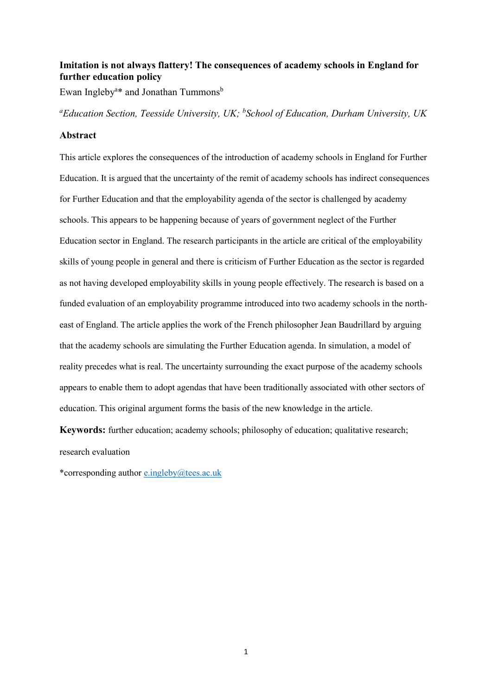# **Imitation is not always flattery! The consequences of academy schools in England for further education policy**

Ewan Ingleby<sup>a\*</sup> and Jonathan Tummons<sup>b</sup>

*<sup>a</sup>Education Section, Teesside University, UK; <sup>b</sup> School of Education, Durham University, UK* 

#### **Abstract**

This article explores the consequences of the introduction of academy schools in England for Further Education. It is argued that the uncertainty of the remit of academy schools has indirect consequences for Further Education and that the employability agenda of the sector is challenged by academy schools. This appears to be happening because of years of government neglect of the Further Education sector in England. The research participants in the article are critical of the employability skills of young people in general and there is criticism of Further Education as the sector is regarded as not having developed employability skills in young people effectively. The research is based on a funded evaluation of an employability programme introduced into two academy schools in the northeast of England. The article applies the work of the French philosopher Jean Baudrillard by arguing that the academy schools are simulating the Further Education agenda. In simulation, a model of reality precedes what is real. The uncertainty surrounding the exact purpose of the academy schools appears to enable them to adopt agendas that have been traditionally associated with other sectors of education. This original argument forms the basis of the new knowledge in the article.

**Keywords:** further education; academy schools; philosophy of education; qualitative research; research evaluation

\*corresponding author [e.ingleby@tees.ac.uk](mailto:e.ingleby@tees.ac.uk)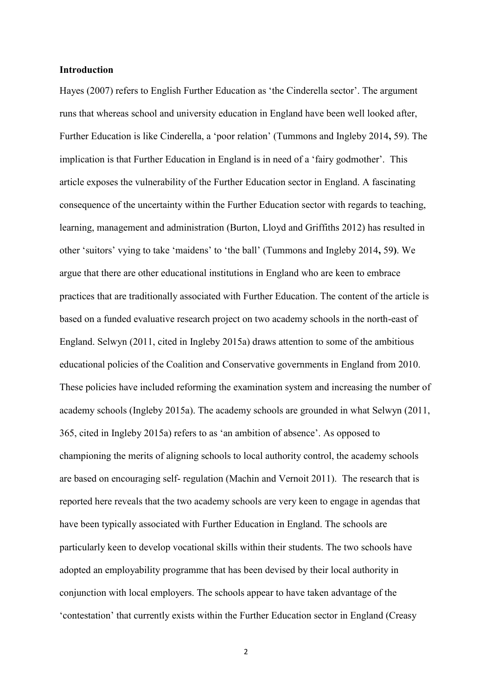## **Introduction**

Hayes (2007) refers to English Further Education as 'the Cinderella sector'. The argument runs that whereas school and university education in England have been well looked after, Further Education is like Cinderella, a 'poor relation' (Tummons and Ingleby 2014**,** 59). The implication is that Further Education in England is in need of a 'fairy godmother'. This article exposes the vulnerability of the Further Education sector in England. A fascinating consequence of the uncertainty within the Further Education sector with regards to teaching, learning, management and administration (Burton, Lloyd and Griffiths 2012) has resulted in other 'suitors' vying to take 'maidens' to 'the ball' (Tummons and Ingleby 2014**,** 59**)**. We argue that there are other educational institutions in England who are keen to embrace practices that are traditionally associated with Further Education. The content of the article is based on a funded evaluative research project on two academy schools in the north-east of England. Selwyn (2011, cited in Ingleby 2015a) draws attention to some of the ambitious educational policies of the Coalition and Conservative governments in England from 2010. These policies have included reforming the examination system and increasing the number of academy schools (Ingleby 2015a). The academy schools are grounded in what Selwyn (2011, 365, cited in Ingleby 2015a) refers to as 'an ambition of absence'. As opposed to championing the merits of aligning schools to local authority control, the academy schools are based on encouraging self- regulation (Machin and Vernoit 2011). The research that is reported here reveals that the two academy schools are very keen to engage in agendas that have been typically associated with Further Education in England. The schools are particularly keen to develop vocational skills within their students. The two schools have adopted an employability programme that has been devised by their local authority in conjunction with local employers. The schools appear to have taken advantage of the 'contestation' that currently exists within the Further Education sector in England (Creasy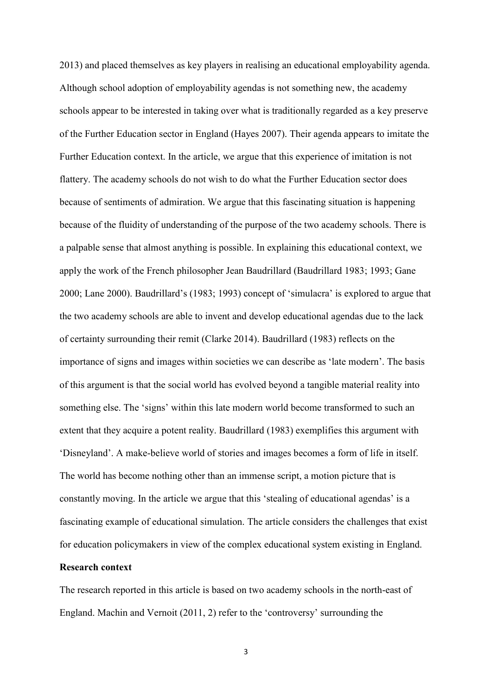2013) and placed themselves as key players in realising an educational employability agenda. Although school adoption of employability agendas is not something new, the academy schools appear to be interested in taking over what is traditionally regarded as a key preserve of the Further Education sector in England (Hayes 2007). Their agenda appears to imitate the Further Education context. In the article, we argue that this experience of imitation is not flattery. The academy schools do not wish to do what the Further Education sector does because of sentiments of admiration. We argue that this fascinating situation is happening because of the fluidity of understanding of the purpose of the two academy schools. There is a palpable sense that almost anything is possible. In explaining this educational context, we apply the work of the French philosopher Jean Baudrillard (Baudrillard 1983; 1993; Gane 2000; Lane 2000). Baudrillard's (1983; 1993) concept of 'simulacra' is explored to argue that the two academy schools are able to invent and develop educational agendas due to the lack of certainty surrounding their remit (Clarke 2014). Baudrillard (1983) reflects on the importance of signs and images within societies we can describe as 'late modern'. The basis of this argument is that the social world has evolved beyond a tangible material reality into something else. The 'signs' within this late modern world become transformed to such an extent that they acquire a potent reality. Baudrillard (1983) exemplifies this argument with 'Disneyland'. A make-believe world of stories and images becomes a form of life in itself. The world has become nothing other than an immense script, a motion picture that is constantly moving. In the article we argue that this 'stealing of educational agendas' is a fascinating example of educational simulation. The article considers the challenges that exist for education policymakers in view of the complex educational system existing in England.

# **Research context**

The research reported in this article is based on two academy schools in the north-east of England. Machin and Vernoit (2011, 2) refer to the 'controversy' surrounding the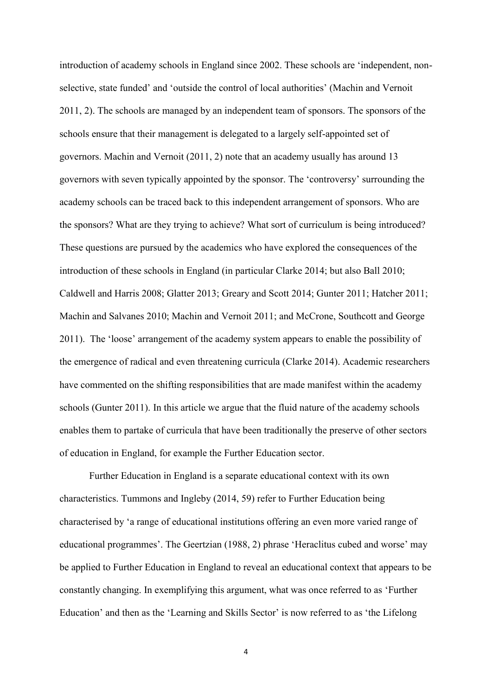introduction of academy schools in England since 2002. These schools are 'independent, nonselective, state funded' and 'outside the control of local authorities' (Machin and Vernoit 2011, 2). The schools are managed by an independent team of sponsors. The sponsors of the schools ensure that their management is delegated to a largely self-appointed set of governors. Machin and Vernoit (2011, 2) note that an academy usually has around 13 governors with seven typically appointed by the sponsor. The 'controversy' surrounding the academy schools can be traced back to this independent arrangement of sponsors. Who are the sponsors? What are they trying to achieve? What sort of curriculum is being introduced? These questions are pursued by the academics who have explored the consequences of the introduction of these schools in England (in particular Clarke 2014; but also Ball 2010; Caldwell and Harris 2008; Glatter 2013; Greary and Scott 2014; Gunter 2011; Hatcher 2011; Machin and Salvanes 2010; Machin and Vernoit 2011; and McCrone, Southcott and George 2011). The 'loose' arrangement of the academy system appears to enable the possibility of the emergence of radical and even threatening curricula (Clarke 2014). Academic researchers have commented on the shifting responsibilities that are made manifest within the academy schools (Gunter 2011). In this article we argue that the fluid nature of the academy schools enables them to partake of curricula that have been traditionally the preserve of other sectors of education in England, for example the Further Education sector.

Further Education in England is a separate educational context with its own characteristics. Tummons and Ingleby (2014, 59) refer to Further Education being characterised by 'a range of educational institutions offering an even more varied range of educational programmes'. The Geertzian (1988, 2) phrase 'Heraclitus cubed and worse' may be applied to Further Education in England to reveal an educational context that appears to be constantly changing. In exemplifying this argument, what was once referred to as 'Further Education' and then as the 'Learning and Skills Sector' is now referred to as 'the Lifelong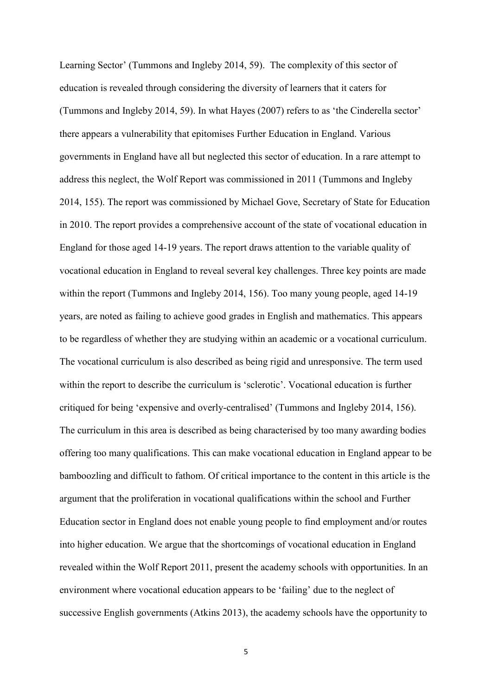Learning Sector' (Tummons and Ingleby 2014, 59). The complexity of this sector of education is revealed through considering the diversity of learners that it caters for (Tummons and Ingleby 2014, 59). In what Hayes (2007) refers to as 'the Cinderella sector' there appears a vulnerability that epitomises Further Education in England. Various governments in England have all but neglected this sector of education. In a rare attempt to address this neglect, the Wolf Report was commissioned in 2011 (Tummons and Ingleby 2014, 155). The report was commissioned by Michael Gove, Secretary of State for Education in 2010. The report provides a comprehensive account of the state of vocational education in England for those aged 14-19 years. The report draws attention to the variable quality of vocational education in England to reveal several key challenges. Three key points are made within the report (Tummons and Ingleby 2014, 156). Too many young people, aged 14-19 years, are noted as failing to achieve good grades in English and mathematics. This appears to be regardless of whether they are studying within an academic or a vocational curriculum. The vocational curriculum is also described as being rigid and unresponsive. The term used within the report to describe the curriculum is 'sclerotic'. Vocational education is further critiqued for being 'expensive and overly-centralised' (Tummons and Ingleby 2014, 156). The curriculum in this area is described as being characterised by too many awarding bodies offering too many qualifications. This can make vocational education in England appear to be bamboozling and difficult to fathom. Of critical importance to the content in this article is the argument that the proliferation in vocational qualifications within the school and Further Education sector in England does not enable young people to find employment and/or routes into higher education. We argue that the shortcomings of vocational education in England revealed within the Wolf Report 2011, present the academy schools with opportunities. In an environment where vocational education appears to be 'failing' due to the neglect of successive English governments (Atkins 2013), the academy schools have the opportunity to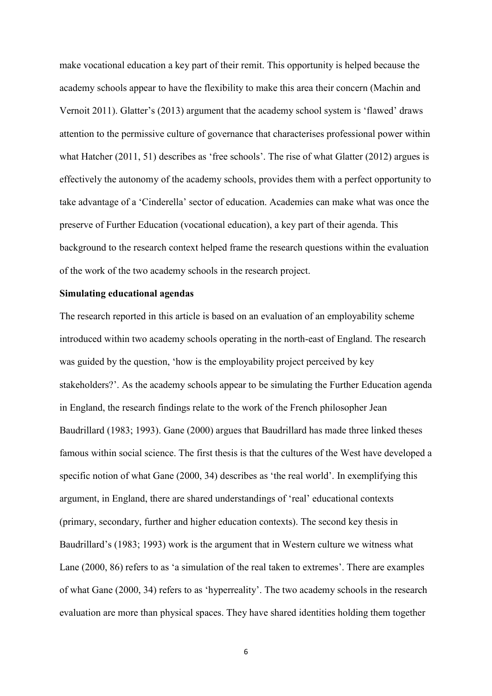make vocational education a key part of their remit. This opportunity is helped because the academy schools appear to have the flexibility to make this area their concern (Machin and Vernoit 2011). Glatter's (2013) argument that the academy school system is 'flawed' draws attention to the permissive culture of governance that characterises professional power within what Hatcher (2011, 51) describes as 'free schools'. The rise of what Glatter (2012) argues is effectively the autonomy of the academy schools, provides them with a perfect opportunity to take advantage of a 'Cinderella' sector of education. Academies can make what was once the preserve of Further Education (vocational education), a key part of their agenda. This background to the research context helped frame the research questions within the evaluation of the work of the two academy schools in the research project.

### **Simulating educational agendas**

The research reported in this article is based on an evaluation of an employability scheme introduced within two academy schools operating in the north-east of England. The research was guided by the question, 'how is the employability project perceived by key stakeholders?'. As the academy schools appear to be simulating the Further Education agenda in England, the research findings relate to the work of the French philosopher Jean Baudrillard (1983; 1993). Gane (2000) argues that Baudrillard has made three linked theses famous within social science. The first thesis is that the cultures of the West have developed a specific notion of what Gane (2000, 34) describes as 'the real world'. In exemplifying this argument, in England, there are shared understandings of 'real' educational contexts (primary, secondary, further and higher education contexts). The second key thesis in Baudrillard's (1983; 1993) work is the argument that in Western culture we witness what Lane (2000, 86) refers to as 'a simulation of the real taken to extremes'. There are examples of what Gane (2000, 34) refers to as 'hyperreality'. The two academy schools in the research evaluation are more than physical spaces. They have shared identities holding them together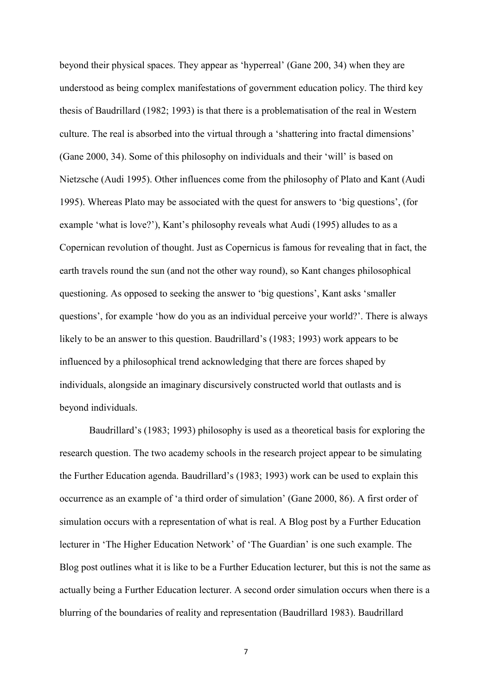beyond their physical spaces. They appear as 'hyperreal' (Gane 200, 34) when they are understood as being complex manifestations of government education policy. The third key thesis of Baudrillard (1982; 1993) is that there is a problematisation of the real in Western culture. The real is absorbed into the virtual through a 'shattering into fractal dimensions' (Gane 2000, 34). Some of this philosophy on individuals and their 'will' is based on Nietzsche (Audi 1995). Other influences come from the philosophy of Plato and Kant (Audi 1995). Whereas Plato may be associated with the quest for answers to 'big questions', (for example 'what is love?'), Kant's philosophy reveals what Audi (1995) alludes to as a Copernican revolution of thought. Just as Copernicus is famous for revealing that in fact, the earth travels round the sun (and not the other way round), so Kant changes philosophical questioning. As opposed to seeking the answer to 'big questions', Kant asks 'smaller questions', for example 'how do you as an individual perceive your world?'. There is always likely to be an answer to this question. Baudrillard's (1983; 1993) work appears to be influenced by a philosophical trend acknowledging that there are forces shaped by individuals, alongside an imaginary discursively constructed world that outlasts and is beyond individuals.

Baudrillard's (1983; 1993) philosophy is used as a theoretical basis for exploring the research question. The two academy schools in the research project appear to be simulating the Further Education agenda. Baudrillard's (1983; 1993) work can be used to explain this occurrence as an example of 'a third order of simulation' (Gane 2000, 86). A first order of simulation occurs with a representation of what is real. A Blog post by a Further Education lecturer in 'The Higher Education Network' of 'The Guardian' is one such example. The Blog post outlines what it is like to be a Further Education lecturer, but this is not the same as actually being a Further Education lecturer. A second order simulation occurs when there is a blurring of the boundaries of reality and representation (Baudrillard 1983). Baudrillard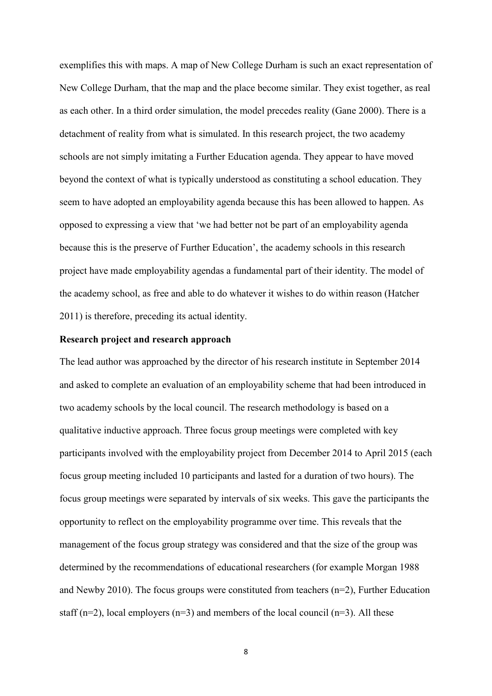exemplifies this with maps. A map of New College Durham is such an exact representation of New College Durham, that the map and the place become similar. They exist together, as real as each other. In a third order simulation, the model precedes reality (Gane 2000). There is a detachment of reality from what is simulated. In this research project, the two academy schools are not simply imitating a Further Education agenda. They appear to have moved beyond the context of what is typically understood as constituting a school education. They seem to have adopted an employability agenda because this has been allowed to happen. As opposed to expressing a view that 'we had better not be part of an employability agenda because this is the preserve of Further Education', the academy schools in this research project have made employability agendas a fundamental part of their identity. The model of the academy school, as free and able to do whatever it wishes to do within reason (Hatcher 2011) is therefore, preceding its actual identity.

### **Research project and research approach**

The lead author was approached by the director of his research institute in September 2014 and asked to complete an evaluation of an employability scheme that had been introduced in two academy schools by the local council. The research methodology is based on a qualitative inductive approach. Three focus group meetings were completed with key participants involved with the employability project from December 2014 to April 2015 (each focus group meeting included 10 participants and lasted for a duration of two hours). The focus group meetings were separated by intervals of six weeks. This gave the participants the opportunity to reflect on the employability programme over time. This reveals that the management of the focus group strategy was considered and that the size of the group was determined by the recommendations of educational researchers (for example Morgan 1988 and Newby 2010). The focus groups were constituted from teachers (n=2), Further Education staff ( $n=2$ ), local employers ( $n=3$ ) and members of the local council ( $n=3$ ). All these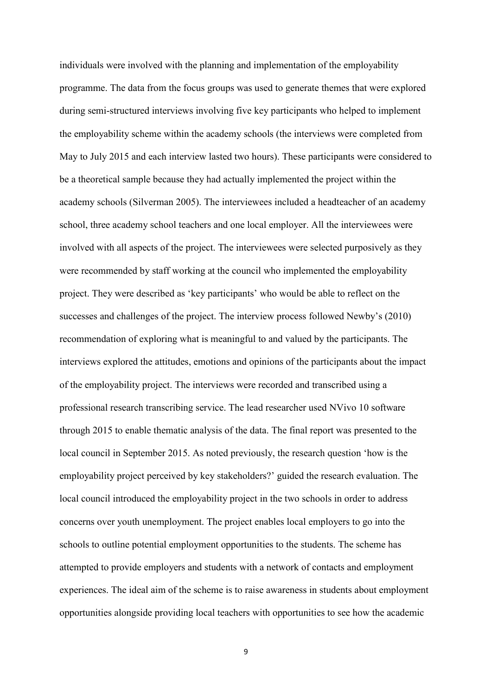individuals were involved with the planning and implementation of the employability programme. The data from the focus groups was used to generate themes that were explored during semi-structured interviews involving five key participants who helped to implement the employability scheme within the academy schools (the interviews were completed from May to July 2015 and each interview lasted two hours). These participants were considered to be a theoretical sample because they had actually implemented the project within the academy schools (Silverman 2005). The interviewees included a headteacher of an academy school, three academy school teachers and one local employer. All the interviewees were involved with all aspects of the project. The interviewees were selected purposively as they were recommended by staff working at the council who implemented the employability project. They were described as 'key participants' who would be able to reflect on the successes and challenges of the project. The interview process followed Newby's (2010) recommendation of exploring what is meaningful to and valued by the participants. The interviews explored the attitudes, emotions and opinions of the participants about the impact of the employability project. The interviews were recorded and transcribed using a professional research transcribing service. The lead researcher used NVivo 10 software through 2015 to enable thematic analysis of the data. The final report was presented to the local council in September 2015. As noted previously, the research question 'how is the employability project perceived by key stakeholders?' guided the research evaluation. The local council introduced the employability project in the two schools in order to address concerns over youth unemployment. The project enables local employers to go into the schools to outline potential employment opportunities to the students. The scheme has attempted to provide employers and students with a network of contacts and employment experiences. The ideal aim of the scheme is to raise awareness in students about employment opportunities alongside providing local teachers with opportunities to see how the academic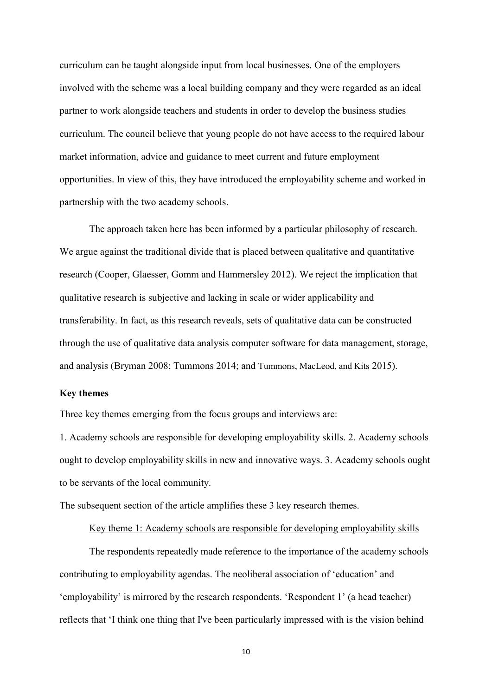curriculum can be taught alongside input from local businesses. One of the employers involved with the scheme was a local building company and they were regarded as an ideal partner to work alongside teachers and students in order to develop the business studies curriculum. The council believe that young people do not have access to the required labour market information, advice and guidance to meet current and future employment opportunities. In view of this, they have introduced the employability scheme and worked in partnership with the two academy schools.

The approach taken here has been informed by a particular philosophy of research. We argue against the traditional divide that is placed between qualitative and quantitative research (Cooper, Glaesser, Gomm and Hammersley 2012). We reject the implication that qualitative research is subjective and lacking in scale or wider applicability and transferability. In fact, as this research reveals, sets of qualitative data can be constructed through the use of qualitative data analysis computer software for data management, storage, and analysis (Bryman 2008; Tummons 2014; and Tummons, MacLeod, and Kits 2015).

## **Key themes**

Three key themes emerging from the focus groups and interviews are:

1. Academy schools are responsible for developing employability skills. 2. Academy schools ought to develop employability skills in new and innovative ways. 3. Academy schools ought to be servants of the local community.

The subsequent section of the article amplifies these 3 key research themes.

# Key theme 1: Academy schools are responsible for developing employability skills

The respondents repeatedly made reference to the importance of the academy schools contributing to employability agendas. The neoliberal association of 'education' and 'employability' is mirrored by the research respondents. 'Respondent 1' (a head teacher) reflects that 'I think one thing that I've been particularly impressed with is the vision behind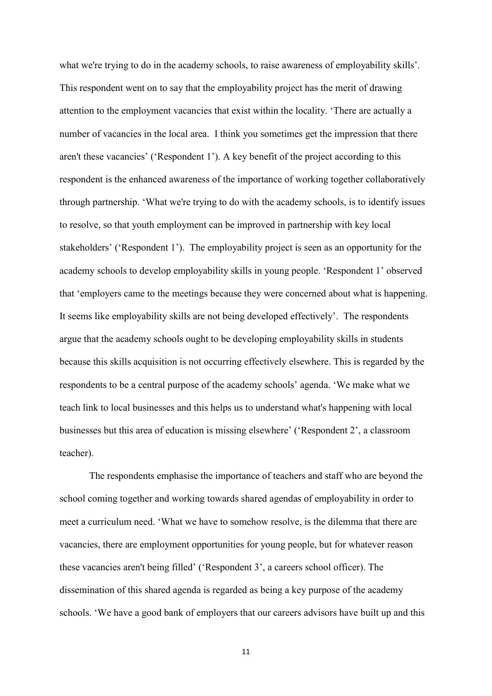what we're trying to do in the academy schools, to raise awareness of employability skills'. This respondent went on to say that the employability project has the merit of drawing attention to the employment vacancies that exist within the locality. 'There are actually a number of vacancies in the local area. I think you sometimes get the impression that there aren't these vacancies' ('Respondent 1'). A key benefit of the project according to this respondent is the enhanced awareness of the importance of working together collaboratively through partnership. 'What we're trying to do with the academy schools, is to identify issues to resolve, so that youth employment can be improved in partnership with key local stakeholders' ('Respondent 1'). The employability project is seen as an opportunity for the academy schools to develop employability skills in young people. 'Respondent 1' observed that 'employers came to the meetings because they were concerned about what is happening. It seems like employability skills are not being developed effectively'. The respondents argue that the academy schools ought to be developing employability skills in students because this skills acquisition is not occurring effectively elsewhere. This is regarded by the respondents to be a central purpose of the academy schools' agenda. 'We make what we teach link to local businesses and this helps us to understand what's happening with local businesses but this area of education is missing elsewhere' ('Respondent 2', a classroom teacher).

The respondents emphasise the importance of teachers and staff who are beyond the school coming together and working towards shared agendas of employability in order to meet a curriculum need. 'What we have to somehow resolve, is the dilemma that there are vacancies, there are employment opportunities for young people, but for whatever reason these vacancies aren't being filled' ('Respondent 3', a careers school officer). The dissemination of this shared agenda is regarded as being a key purpose of the academy schools. 'We have a good bank of employers that our careers advisors have built up and this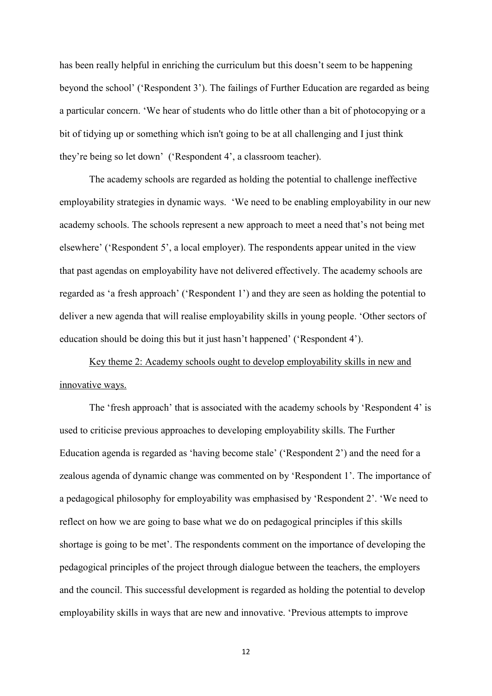has been really helpful in enriching the curriculum but this doesn't seem to be happening beyond the school' ('Respondent 3'). The failings of Further Education are regarded as being a particular concern. 'We hear of students who do little other than a bit of photocopying or a bit of tidying up or something which isn't going to be at all challenging and I just think they're being so let down' ('Respondent 4', a classroom teacher).

The academy schools are regarded as holding the potential to challenge ineffective employability strategies in dynamic ways. 'We need to be enabling employability in our new academy schools. The schools represent a new approach to meet a need that's not being met elsewhere' ('Respondent 5', a local employer). The respondents appear united in the view that past agendas on employability have not delivered effectively. The academy schools are regarded as 'a fresh approach' ('Respondent 1') and they are seen as holding the potential to deliver a new agenda that will realise employability skills in young people. 'Other sectors of education should be doing this but it just hasn't happened' ('Respondent 4').

Key theme 2: Academy schools ought to develop employability skills in new and innovative ways.

The 'fresh approach' that is associated with the academy schools by 'Respondent 4' is used to criticise previous approaches to developing employability skills. The Further Education agenda is regarded as 'having become stale' ('Respondent 2') and the need for a zealous agenda of dynamic change was commented on by 'Respondent 1'. The importance of a pedagogical philosophy for employability was emphasised by 'Respondent 2'. 'We need to reflect on how we are going to base what we do on pedagogical principles if this skills shortage is going to be met'. The respondents comment on the importance of developing the pedagogical principles of the project through dialogue between the teachers, the employers and the council. This successful development is regarded as holding the potential to develop employability skills in ways that are new and innovative. 'Previous attempts to improve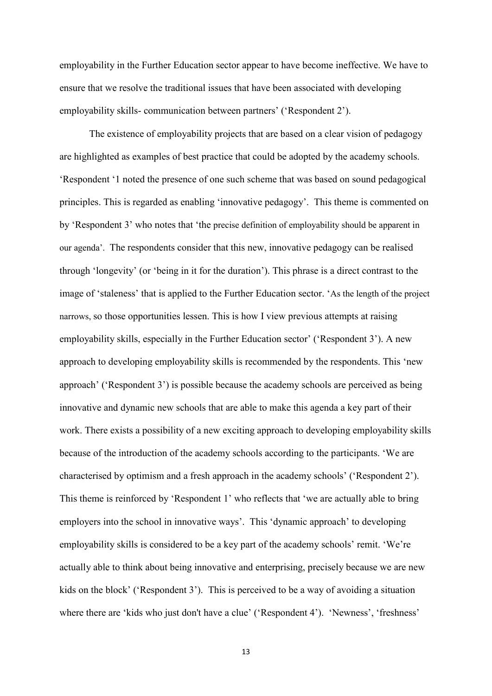employability in the Further Education sector appear to have become ineffective. We have to ensure that we resolve the traditional issues that have been associated with developing employability skills- communication between partners' ('Respondent 2').

The existence of employability projects that are based on a clear vision of pedagogy are highlighted as examples of best practice that could be adopted by the academy schools. 'Respondent '1 noted the presence of one such scheme that was based on sound pedagogical principles. This is regarded as enabling 'innovative pedagogy'. This theme is commented on by 'Respondent 3' who notes that 'the precise definition of employability should be apparent in our agenda'. The respondents consider that this new, innovative pedagogy can be realised through 'longevity' (or 'being in it for the duration'). This phrase is a direct contrast to the image of 'staleness' that is applied to the Further Education sector. 'As the length of the project narrows, so those opportunities lessen. This is how I view previous attempts at raising employability skills, especially in the Further Education sector' ('Respondent 3'). A new approach to developing employability skills is recommended by the respondents. This 'new approach' ('Respondent 3') is possible because the academy schools are perceived as being innovative and dynamic new schools that are able to make this agenda a key part of their work. There exists a possibility of a new exciting approach to developing employability skills because of the introduction of the academy schools according to the participants. 'We are characterised by optimism and a fresh approach in the academy schools' ('Respondent 2'). This theme is reinforced by 'Respondent 1' who reflects that 'we are actually able to bring employers into the school in innovative ways'. This 'dynamic approach' to developing employability skills is considered to be a key part of the academy schools' remit. 'We're actually able to think about being innovative and enterprising, precisely because we are new kids on the block' ('Respondent 3'). This is perceived to be a way of avoiding a situation where there are 'kids who just don't have a clue' ('Respondent 4'). 'Newness', 'freshness'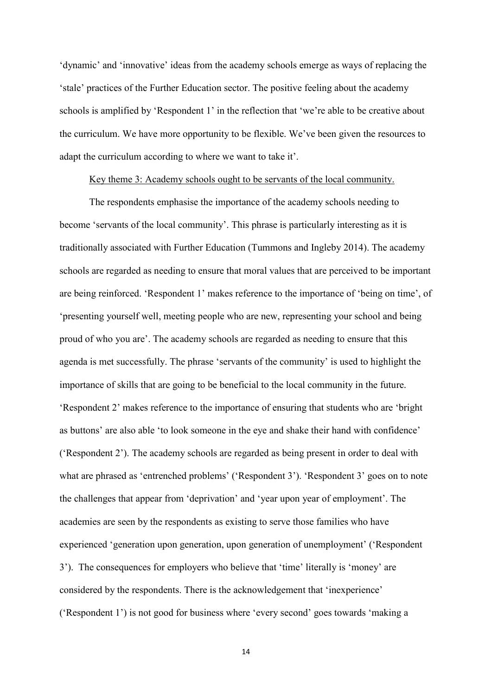'dynamic' and 'innovative' ideas from the academy schools emerge as ways of replacing the 'stale' practices of the Further Education sector. The positive feeling about the academy schools is amplified by 'Respondent 1' in the reflection that 'we're able to be creative about the curriculum. We have more opportunity to be flexible. We've been given the resources to adapt the curriculum according to where we want to take it'.

### Key theme 3: Academy schools ought to be servants of the local community.

The respondents emphasise the importance of the academy schools needing to become 'servants of the local community'. This phrase is particularly interesting as it is traditionally associated with Further Education (Tummons and Ingleby 2014). The academy schools are regarded as needing to ensure that moral values that are perceived to be important are being reinforced. 'Respondent 1' makes reference to the importance of 'being on time', of 'presenting yourself well, meeting people who are new, representing your school and being proud of who you are'. The academy schools are regarded as needing to ensure that this agenda is met successfully. The phrase 'servants of the community' is used to highlight the importance of skills that are going to be beneficial to the local community in the future. 'Respondent 2' makes reference to the importance of ensuring that students who are 'bright as buttons' are also able 'to look someone in the eye and shake their hand with confidence' ('Respondent 2'). The academy schools are regarded as being present in order to deal with what are phrased as 'entrenched problems' ('Respondent 3'). 'Respondent 3' goes on to note the challenges that appear from 'deprivation' and 'year upon year of employment'. The academies are seen by the respondents as existing to serve those families who have experienced 'generation upon generation, upon generation of unemployment' ('Respondent 3'). The consequences for employers who believe that 'time' literally is 'money' are considered by the respondents. There is the acknowledgement that 'inexperience' ('Respondent 1') is not good for business where 'every second' goes towards 'making a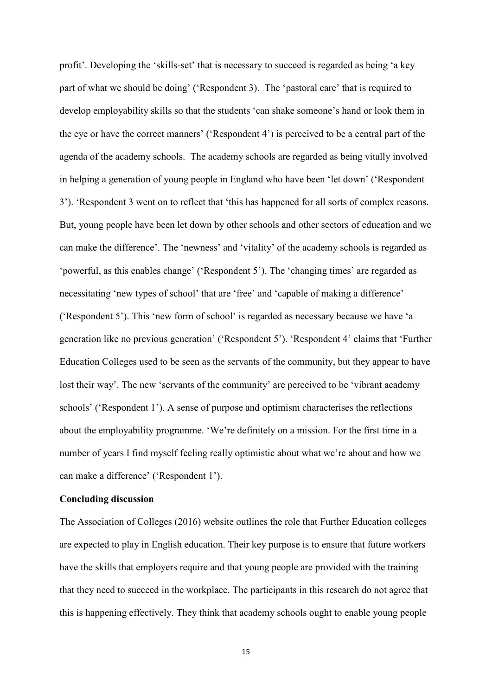profit'. Developing the 'skills-set' that is necessary to succeed is regarded as being 'a key part of what we should be doing' ('Respondent 3). The 'pastoral care' that is required to develop employability skills so that the students 'can shake someone's hand or look them in the eye or have the correct manners' ('Respondent 4') is perceived to be a central part of the agenda of the academy schools. The academy schools are regarded as being vitally involved in helping a generation of young people in England who have been 'let down' ('Respondent 3'). 'Respondent 3 went on to reflect that 'this has happened for all sorts of complex reasons. But, young people have been let down by other schools and other sectors of education and we can make the difference'. The 'newness' and 'vitality' of the academy schools is regarded as 'powerful, as this enables change' ('Respondent 5'). The 'changing times' are regarded as necessitating 'new types of school' that are 'free' and 'capable of making a difference' ('Respondent 5'). This 'new form of school' is regarded as necessary because we have 'a generation like no previous generation' ('Respondent 5'). 'Respondent 4' claims that 'Further Education Colleges used to be seen as the servants of the community, but they appear to have lost their way'. The new 'servants of the community' are perceived to be 'vibrant academy schools' ('Respondent 1'). A sense of purpose and optimism characterises the reflections about the employability programme. 'We're definitely on a mission. For the first time in a number of years I find myself feeling really optimistic about what we're about and how we can make a difference' ('Respondent 1').

#### **Concluding discussion**

The Association of Colleges (2016) website outlines the role that Further Education colleges are expected to play in English education. Their key purpose is to ensure that future workers have the skills that employers require and that young people are provided with the training that they need to succeed in the workplace. The participants in this research do not agree that this is happening effectively. They think that academy schools ought to enable young people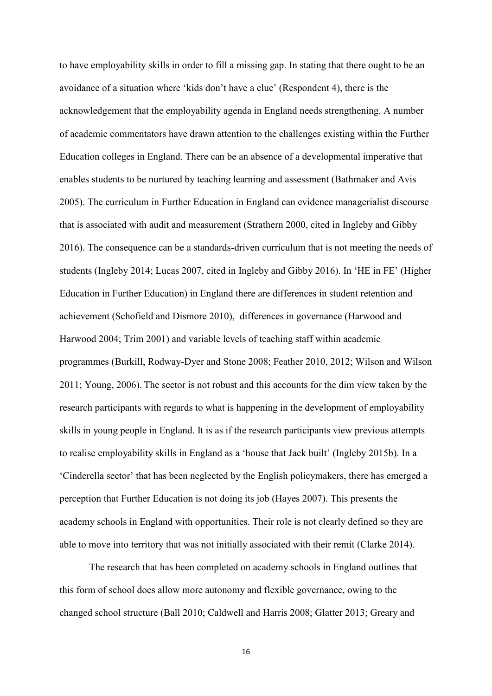to have employability skills in order to fill a missing gap. In stating that there ought to be an avoidance of a situation where 'kids don't have a clue' (Respondent 4), there is the acknowledgement that the employability agenda in England needs strengthening. A number of academic commentators have drawn attention to the challenges existing within the Further Education colleges in England. There can be an absence of a developmental imperative that enables students to be nurtured by teaching learning and assessment (Bathmaker and Avis 2005). The curriculum in Further Education in England can evidence managerialist discourse that is associated with audit and measurement (Strathern 2000, cited in Ingleby and Gibby 2016). The consequence can be a standards-driven curriculum that is not meeting the needs of students (Ingleby 2014; Lucas 2007, cited in Ingleby and Gibby 2016). In 'HE in FE' (Higher Education in Further Education) in England there are differences in student retention and achievement (Schofield and Dismore 2010), differences in governance (Harwood and Harwood 2004; Trim 2001) and variable levels of teaching staff within academic programmes (Burkill, Rodway-Dyer and Stone 2008; Feather 2010, 2012; Wilson and Wilson 2011; Young, 2006). The sector is not robust and this accounts for the dim view taken by the research participants with regards to what is happening in the development of employability skills in young people in England. It is as if the research participants view previous attempts to realise employability skills in England as a 'house that Jack built' (Ingleby 2015b). In a 'Cinderella sector' that has been neglected by the English policymakers, there has emerged a perception that Further Education is not doing its job (Hayes 2007). This presents the academy schools in England with opportunities. Their role is not clearly defined so they are able to move into territory that was not initially associated with their remit (Clarke 2014).

The research that has been completed on academy schools in England outlines that this form of school does allow more autonomy and flexible governance, owing to the changed school structure (Ball 2010; Caldwell and Harris 2008; Glatter 2013; Greary and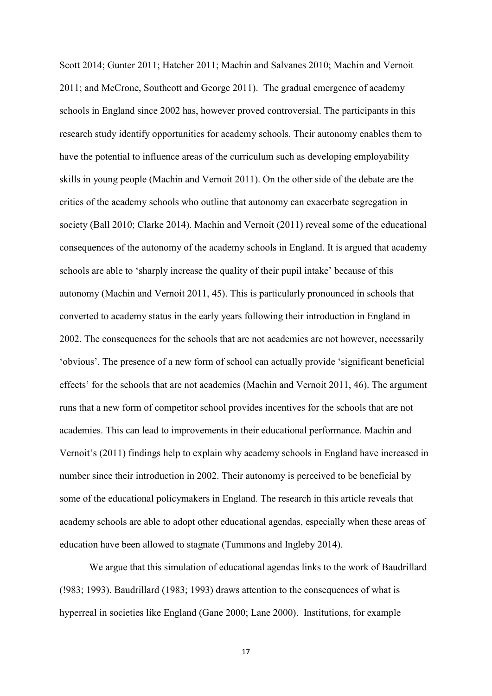Scott 2014; Gunter 2011; Hatcher 2011; Machin and Salvanes 2010; Machin and Vernoit 2011; and McCrone, Southcott and George 2011). The gradual emergence of academy schools in England since 2002 has, however proved controversial. The participants in this research study identify opportunities for academy schools. Their autonomy enables them to have the potential to influence areas of the curriculum such as developing employability skills in young people (Machin and Vernoit 2011). On the other side of the debate are the critics of the academy schools who outline that autonomy can exacerbate segregation in society (Ball 2010; Clarke 2014). Machin and Vernoit (2011) reveal some of the educational consequences of the autonomy of the academy schools in England. It is argued that academy schools are able to 'sharply increase the quality of their pupil intake' because of this autonomy (Machin and Vernoit 2011, 45). This is particularly pronounced in schools that converted to academy status in the early years following their introduction in England in 2002. The consequences for the schools that are not academies are not however, necessarily 'obvious'. The presence of a new form of school can actually provide 'significant beneficial effects' for the schools that are not academies (Machin and Vernoit 2011, 46). The argument runs that a new form of competitor school provides incentives for the schools that are not academies. This can lead to improvements in their educational performance. Machin and Vernoit's (2011) findings help to explain why academy schools in England have increased in number since their introduction in 2002. Their autonomy is perceived to be beneficial by some of the educational policymakers in England. The research in this article reveals that academy schools are able to adopt other educational agendas, especially when these areas of education have been allowed to stagnate (Tummons and Ingleby 2014).

We argue that this simulation of educational agendas links to the work of Baudrillard (!983; 1993). Baudrillard (1983; 1993) draws attention to the consequences of what is hyperreal in societies like England (Gane 2000; Lane 2000). Institutions, for example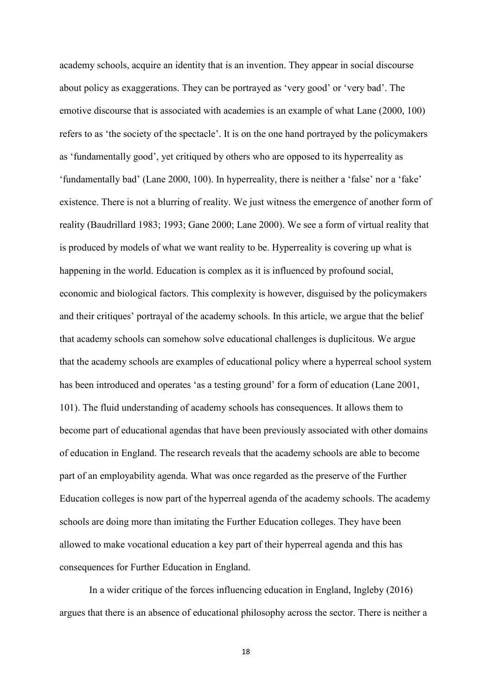academy schools, acquire an identity that is an invention. They appear in social discourse about policy as exaggerations. They can be portrayed as 'very good' or 'very bad'. The emotive discourse that is associated with academies is an example of what Lane (2000, 100) refers to as 'the society of the spectacle'. It is on the one hand portrayed by the policymakers as 'fundamentally good', yet critiqued by others who are opposed to its hyperreality as 'fundamentally bad' (Lane 2000, 100). In hyperreality, there is neither a 'false' nor a 'fake' existence. There is not a blurring of reality. We just witness the emergence of another form of reality (Baudrillard 1983; 1993; Gane 2000; Lane 2000). We see a form of virtual reality that is produced by models of what we want reality to be. Hyperreality is covering up what is happening in the world. Education is complex as it is influenced by profound social, economic and biological factors. This complexity is however, disguised by the policymakers and their critiques' portrayal of the academy schools. In this article, we argue that the belief that academy schools can somehow solve educational challenges is duplicitous. We argue that the academy schools are examples of educational policy where a hyperreal school system has been introduced and operates 'as a testing ground' for a form of education (Lane 2001, 101). The fluid understanding of academy schools has consequences. It allows them to become part of educational agendas that have been previously associated with other domains of education in England. The research reveals that the academy schools are able to become part of an employability agenda. What was once regarded as the preserve of the Further Education colleges is now part of the hyperreal agenda of the academy schools. The academy schools are doing more than imitating the Further Education colleges. They have been allowed to make vocational education a key part of their hyperreal agenda and this has consequences for Further Education in England.

In a wider critique of the forces influencing education in England, Ingleby (2016) argues that there is an absence of educational philosophy across the sector. There is neither a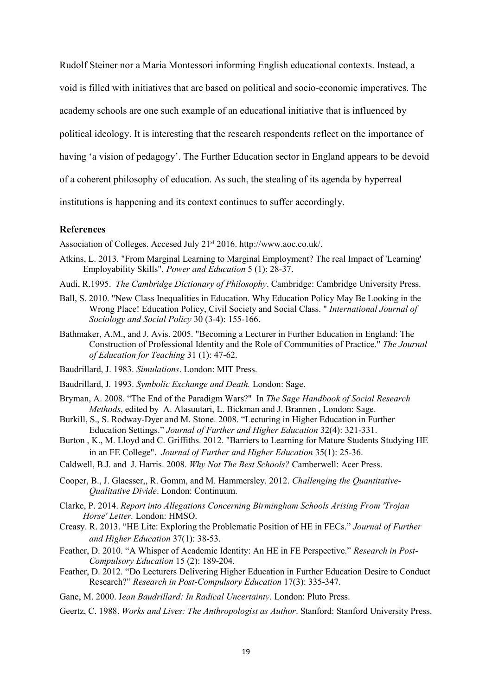Rudolf Steiner nor a Maria Montessori informing English educational contexts. Instead, a void is filled with initiatives that are based on political and socio-economic imperatives. The academy schools are one such example of an educational initiative that is influenced by political ideology. It is interesting that the research respondents reflect on the importance of having 'a vision of pedagogy'. The Further Education sector in England appears to be devoid of a coherent philosophy of education. As such, the stealing of its agenda by hyperreal institutions is happening and its context continues to suffer accordingly.

#### **References**

Association of Colleges. Accesed July 21<sup>st</sup> 2016. http://www.aoc.co.uk/.

- Atkins, L. 2013. "From Marginal Learning to Marginal Employment? The real Impact of 'Learning' Employability Skills". *Power and Education* 5 (1): 28-37.
- Audi, R.1995. *The Cambridge Dictionary of Philosophy*. Cambridge: Cambridge University Press.
- Ball, S. 2010. "New Class Inequalities in Education. Why Education Policy May Be Looking in the Wrong Place! Education Policy, Civil Society and Social Class. " *International Journal of Sociology and Social Policy* 30 (3-4): 155-166.
- Bathmaker, A.M., and J. Avis. 2005. "Becoming a Lecturer in Further Education in England: The Construction of Professional Identity and the Role of Communities of Practice." *The Journal of Education for Teaching* 31 (1): 47-62.
- Baudrillard, J. 1983. *Simulations*. London: MIT Press.
- Baudrillard, J*.* 1993. *Symbolic Exchange and Death.* London: Sage.
- Bryman, A. 2008. "The End of the Paradigm Wars?" In *The Sage Handbook of Social Research Methods*, edited by A. Alasuutari, L. Bickman and J. Brannen , London: Sage.
- Burkill, S., S. Rodway-Dyer and M. Stone. 2008. "Lecturing in Higher Education in Further Education Settings." *Journal of Further and Higher Education* 32(4): 321-331.
- Burton , K., M. Lloyd and C. Griffiths. 2012. "Barriers to Learning for Mature Students Studying HE in an FE College". *Journal of Further and Higher Education* 35(1): 25-36.
- Caldwell, B.J. and J. Harris. 2008. *Why Not The Best Schools?* Camberwell: Acer Press.
- Cooper, B., J. Glaesser,, R. Gomm, and M. Hammersley. 2012. *Challenging the Quantitative-Qualitative Divide*. London: Continuum.
- Clarke, P. 2014. *Report into Allegations Concerning Birmingham Schools Arising From 'Trojan Horse' Letter.* London: HMSO.
- Creasy. R. 2013. "HE Lite: Exploring the Problematic Position of HE in FECs." *Journal of Further and Higher Education* 37(1): 38-53.
- Feather, D. 2010. "A Whisper of Academic Identity: An HE in FE Perspective." *Research in Post-Compulsory Education* 15 (2): 189-204.
- Feather, D. 2012. "Do Lecturers Delivering Higher Education in Further Education Desire to Conduct Research?" *Research in Post-Compulsory Education* 17(3): 335-347.

Gane, M. 2000. J*ean Baudrillard: In Radical Uncertainty*. London: Pluto Press.

Geertz, C. 1988. *Works and Lives: The Anthropologist as Author*. Stanford: Stanford University Press.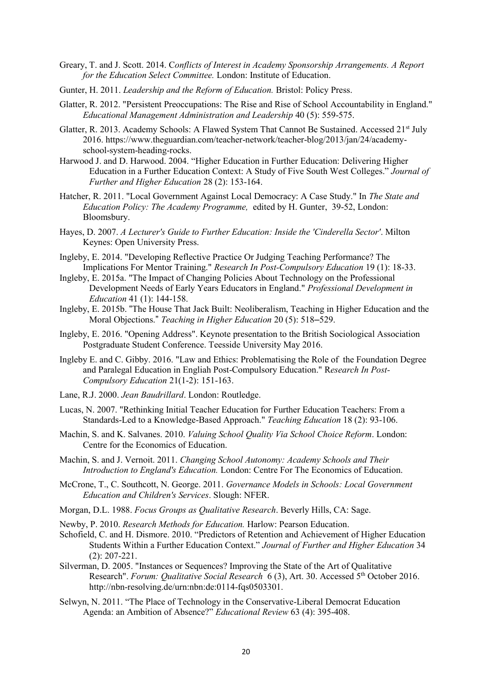- Greary, T. and J. Scott. 2014. C*onflicts of Interest in Academy Sponsorship Arrangements. A Report for the Education Select Committee.* London: Institute of Education.
- Gunter, H. 2011. *Leadership and the Reform of Education.* Bristol: Policy Press.
- Glatter, R. 2012. "Persistent Preoccupations: The Rise and Rise of School Accountability in England." *Educational Management Administration and Leadership* 40 (5): 559-575.
- Glatter, R. 2013. Academy Schools: A Flawed System That Cannot Be Sustained. Accessed  $21<sup>st</sup>$  July 2016. https://www.theguardian.com/teacher-network/teacher-blog/2013/jan/24/academyschool-system-heading-rocks.
- Harwood J. and D. Harwood. 2004. "Higher Education in Further Education: Delivering Higher Education in a Further Education Context: A Study of Five South West Colleges." *Journal of Further and Higher Education* 28 (2): 153-164.
- Hatcher, R. 2011. "Local Government Against Local Democracy: A Case Study." In *The State and Education Policy: The Academy Programme,* edited by H. Gunter, 39-52, London: Bloomsbury.
- Hayes, D. 2007. *A Lecturer's Guide to Further Education: Inside the 'Cinderella Sector'*. Milton Keynes: Open University Press.
- Ingleby, E. 2014. "Developing Reflective Practice Or Judging Teaching Performance? The Implications For Mentor Training." *Research In Post-Compulsory Education* 19 (1): 18-33.
- Ingleby, E. 2015a. "The Impact of Changing Policies About Technology on the Professional Development Needs of Early Years Educators in England." *Professional Development in Education* 41 (1): 144-158.
- Ingleby, E. 2015b. "The House That Jack Built: Neoliberalism, Teaching in Higher Education and the Moral Objections." *Teaching in Higher Education* 20 (5): 518–529.
- Ingleby, E. 2016. "Opening Address". Keynote presentation to the British Sociological Association Postgraduate Student Conference. Teesside University May 2016.
- Ingleby E. and C. Gibby. 2016. "Law and Ethics: Problematising the Role of the Foundation Degree and Paralegal Education in Engliah Post-Compulsory Education." R*esearch In Post-Compulsory Education* 21(1-2): 151-163.
- Lane, R.J. 2000. *Jean Baudrillard*. London: Routledge.
- Lucas, N. 2007. "Rethinking Initial Teacher Education for Further Education Teachers: From a Standards-Led to a Knowledge-Based Approach." *Teaching Education* 18 (2): 93-106.
- Machin, S. and K. Salvanes. 2010. *Valuing School Quality Via School Choice Reform*. London: Centre for the Economics of Education.
- Machin, S. and J. Vernoit. 2011. *Changing School Autonomy: Academy Schools and Their Introduction to England's Education.* London: Centre For The Economics of Education.
- McCrone, T., C. Southcott, N. George. 2011. *Governance Models in Schools: Local Government Education and Children's Services*. Slough: NFER.
- Morgan, D.L. 1988. *Focus Groups as Qualitative Research*. Beverly Hills, CA: Sage.
- Newby, P. 2010. *Research Methods for Education.* Harlow: Pearson Education.
- Schofield, C. and H. Dismore. 2010. "Predictors of Retention and Achievement of Higher Education Students Within a Further Education Context." *Journal of Further and Higher Education* 34 (2): 207-221.
- Silverman, D. 2005. "Instances or Sequences? Improving the State of the Art of Qualitative Research". *Forum: Qualitative Social Research* 6 (3), Art. 30. Accessed 5<sup>th</sup> October 2016. http://nbn-resolving.de/urn:nbn:de:0114-fqs0503301.
- Selwyn, N. 2011. "The Place of Technology in the Conservative-Liberal Democrat Education Agenda: an Ambition of Absence?" *Educational Review* 63 (4): 395-408.